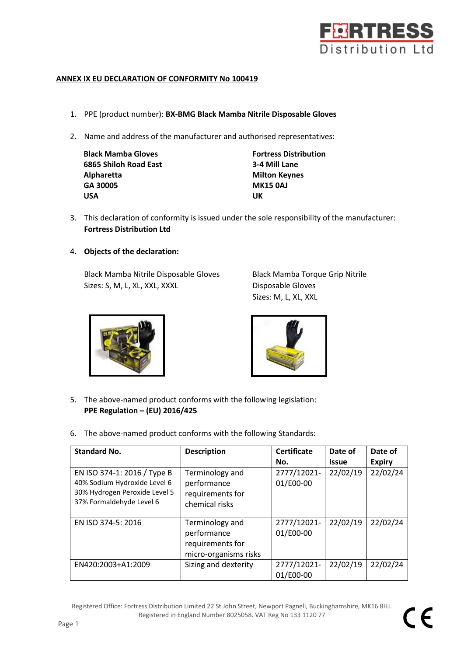

## **ANNEX IX EU DECLARATION OF CONFORMITY No 100419**

- 1. PPE (product number): **BX-BMG Black Mamba Nitrile Disposable Gloves**
- 2. Name and address of the manufacturer and authorised representatives:

| <b>Black Mamba Gloves</b> | <b>Fortress</b> |
|---------------------------|-----------------|
| 6865 Shiloh Road East     | 3-4 Mill        |
| Alpharetta                | <b>Milton K</b> |
| GA 30005                  | <b>MK1504</b>   |
| <b>USA</b>                | UK              |

**Fortress Distribution 6865 Shiloh Road East 3-4 Mill Lane Milton Keynes GA 30005 MK15 0AJ**

- 3. This declaration of conformity is issued under the sole responsibility of the manufacturer: **Fortress Distribution Ltd**
- 4. **Objects of the declaration:**

Black Mamba Nitrile Disposable Gloves Black Mamba Torque Grip Nitrile Sizes: S, M, L, XL, XXL, XXXL Disposable Gloves

Sizes: M, L, XL, XXL





- 5. The above-named product conforms with the following legislation: **PPE Regulation – (EU) 2016/425**
- 6. The above-named product conforms with the following Standards:

| <b>Standard No.</b>                                                                                                      | <b>Description</b>                                                          | <b>Certificate</b>       | Date of      | Date of       |
|--------------------------------------------------------------------------------------------------------------------------|-----------------------------------------------------------------------------|--------------------------|--------------|---------------|
|                                                                                                                          |                                                                             | No.                      | <b>Issue</b> | <b>Expiry</b> |
| EN ISO 374-1: 2016 / Type B<br>40% Sodium Hydroxide Level 6<br>30% Hydrogen Peroxide Level 5<br>37% Formaldehyde Level 6 | Terminology and<br>performance<br>requirements for<br>chemical risks        | 2777/12021-<br>01/E00-00 | 22/02/19     | 22/02/24      |
| EN ISO 374-5: 2016                                                                                                       | Terminology and<br>performance<br>requirements for<br>micro-organisms risks | 2777/12021-<br>01/E00-00 | 22/02/19     | 22/02/24      |
| EN420:2003+A1:2009                                                                                                       | Sizing and dexterity                                                        | 2777/12021-<br>01/E00-00 | 22/02/19     | 22/02/24      |